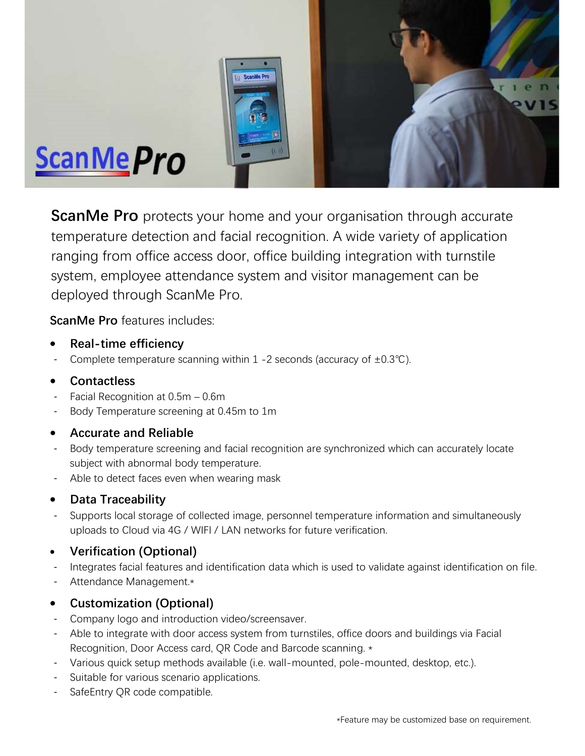

**ScanMe Pro** protects your home and your organisation through accurate temperature detection and facial recognition. A wide variety of application ranging from office access door, office building integration with turnstile system, employee attendance system and visitor management can be deployed through ScanMe Pro.

ScanMe Pro features includes:

- Real-time efficiency
- Complete temperature scanning within 1 -2 seconds (accuracy of  $\pm 0.3^{\circ}$ C).

# Contactless

- Facial Recognition at  $0.5m 0.6m$
- Body Temperature screening at 0.45m to 1m

# Accurate and Reliable

- Body temperature screening and facial recognition are synchronized which can accurately locate subject with abnormal body temperature.
- Able to detect faces even when wearing mask

# • Data Traceability

- Supports local storage of collected image, personnel temperature information and simultaneously uploads to Cloud via 4G / WIFI / LAN networks for future verification.

# Verification (Optional)

- Integrates facial features and identification data which is used to validate against identification on file.
- Attendance Management.\*

# Customization (Optional)

- Company logo and introduction video/screensaver.
- Able to integrate with door access system from turnstiles, office doors and buildings via Facial Recognition, Door Access card, QR Code and Barcode scanning. \*
- Various quick setup methods available (i.e. wall-mounted, pole-mounted, desktop, etc.).
- Suitable for various scenario applications.
- SafeEntry QR code compatible.